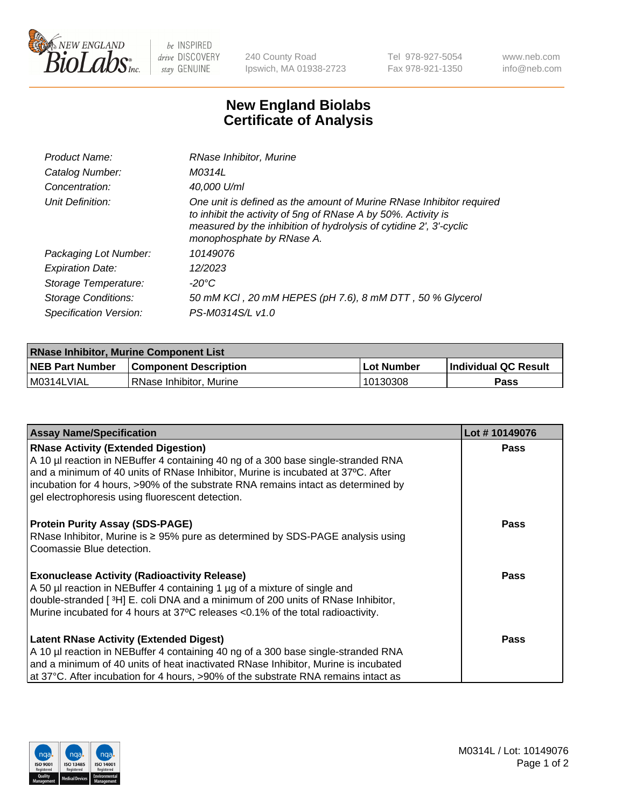

 $be$  INSPIRED drive DISCOVERY stay GENUINE

240 County Road Ipswich, MA 01938-2723 Tel 978-927-5054 Fax 978-921-1350 www.neb.com info@neb.com

## **New England Biolabs Certificate of Analysis**

| Product Name:           | RNase Inhibitor, Murine                                                                                                                                                                                                                  |
|-------------------------|------------------------------------------------------------------------------------------------------------------------------------------------------------------------------------------------------------------------------------------|
| Catalog Number:         | M0314L                                                                                                                                                                                                                                   |
| Concentration:          | 40,000 U/ml                                                                                                                                                                                                                              |
| Unit Definition:        | One unit is defined as the amount of Murine RNase Inhibitor required<br>to inhibit the activity of 5ng of RNase A by 50%. Activity is<br>measured by the inhibition of hydrolysis of cytidine 2', 3'-cyclic<br>monophosphate by RNase A. |
| Packaging Lot Number:   | 10149076                                                                                                                                                                                                                                 |
| <b>Expiration Date:</b> | 12/2023                                                                                                                                                                                                                                  |
| Storage Temperature:    | -20°C                                                                                                                                                                                                                                    |
| Storage Conditions:     | 50 mM KCI, 20 mM HEPES (pH 7.6), 8 mM DTT, 50 % Glycerol                                                                                                                                                                                 |
| Specification Version:  | PS-M0314S/L v1.0                                                                                                                                                                                                                         |

| <b>RNase Inhibitor, Murine Component List</b> |                              |              |                             |  |
|-----------------------------------------------|------------------------------|--------------|-----------------------------|--|
| <b>NEB Part Number</b>                        | <b>Component Description</b> | l Lot Number | <b>Individual QC Result</b> |  |
| M0314LVIAL                                    | l RNase Inhibitor. Murine    | 10130308     | Pass                        |  |

| <b>Assay Name/Specification</b>                                                                                                                                                                                                                                                                                                                              | Lot #10149076 |
|--------------------------------------------------------------------------------------------------------------------------------------------------------------------------------------------------------------------------------------------------------------------------------------------------------------------------------------------------------------|---------------|
| <b>RNase Activity (Extended Digestion)</b><br>A 10 µl reaction in NEBuffer 4 containing 40 ng of a 300 base single-stranded RNA<br>and a minimum of 40 units of RNase Inhibitor, Murine is incubated at 37°C. After<br>incubation for 4 hours, >90% of the substrate RNA remains intact as determined by<br>gel electrophoresis using fluorescent detection. | <b>Pass</b>   |
| <b>Protein Purity Assay (SDS-PAGE)</b><br>RNase Inhibitor, Murine is ≥ 95% pure as determined by SDS-PAGE analysis using<br>Coomassie Blue detection.                                                                                                                                                                                                        | <b>Pass</b>   |
| <b>Exonuclease Activity (Radioactivity Release)</b><br>A 50 µl reaction in NEBuffer 4 containing 1 µg of a mixture of single and<br>double-stranded [3H] E. coli DNA and a minimum of 200 units of RNase Inhibitor,<br>Murine incubated for 4 hours at 37°C releases <0.1% of the total radioactivity.                                                       | <b>Pass</b>   |
| <b>Latent RNase Activity (Extended Digest)</b><br>A 10 µl reaction in NEBuffer 4 containing 40 ng of a 300 base single-stranded RNA<br>and a minimum of 40 units of heat inactivated RNase Inhibitor, Murine is incubated<br>at 37°C. After incubation for 4 hours, >90% of the substrate RNA remains intact as                                              | <b>Pass</b>   |